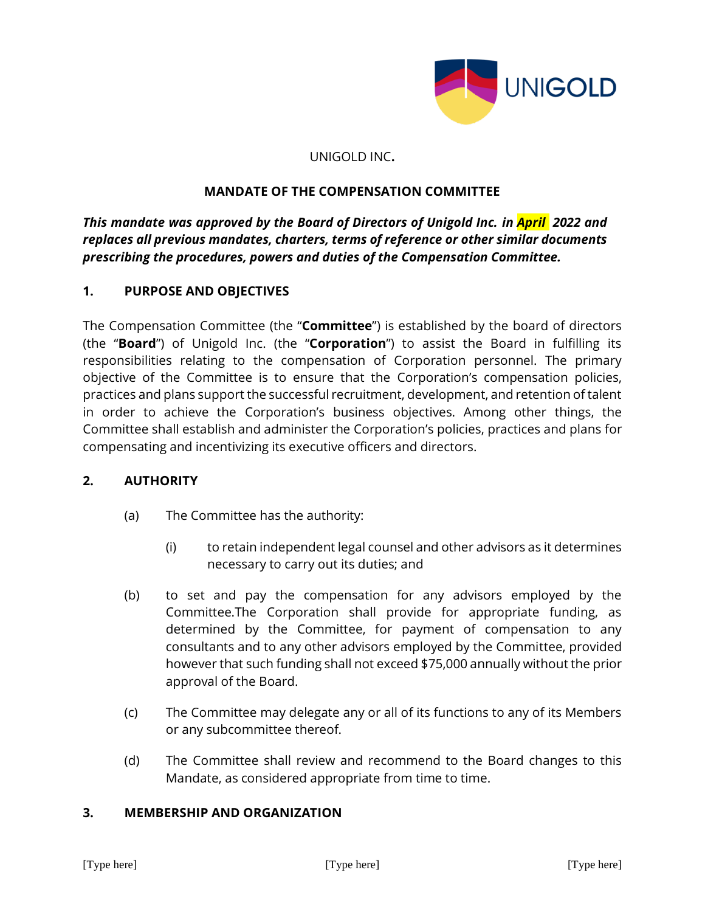

#### UNIGOLD INC**.**

### **MANDATE OF THE COMPENSATION COMMITTEE**

*This mandate was approved by the Board of Directors of Unigold Inc. in April 2022 and replaces all previous mandates, charters, terms of reference or other similar documents prescribing the procedures, powers and duties of the Compensation Committee.* 

### **1. PURPOSE AND OBJECTIVES**

The Compensation Committee (the "**Committee**") is established by the board of directors (the "**Board**") of Unigold Inc. (the "**Corporation**") to assist the Board in fulfilling its responsibilities relating to the compensation of Corporation personnel. The primary objective of the Committee is to ensure that the Corporation's compensation policies, practices and plans support the successful recruitment, development, and retention of talent in order to achieve the Corporation's business objectives. Among other things, the Committee shall establish and administer the Corporation's policies, practices and plans for compensating and incentivizing its executive officers and directors.

#### **2. AUTHORITY**

- (a) The Committee has the authority:
	- (i) to retain independent legal counsel and other advisors as it determines necessary to carry out its duties; and
- (b) to set and pay the compensation for any advisors employed by the Committee.The Corporation shall provide for appropriate funding, as determined by the Committee, for payment of compensation to any consultants and to any other advisors employed by the Committee, provided however that such funding shall not exceed \$75,000 annually without the prior approval of the Board.
- (c) The Committee may delegate any or all of its functions to any of its Members or any subcommittee thereof.
- (d) The Committee shall review and recommend to the Board changes to this Mandate, as considered appropriate from time to time.

#### **3. MEMBERSHIP AND ORGANIZATION**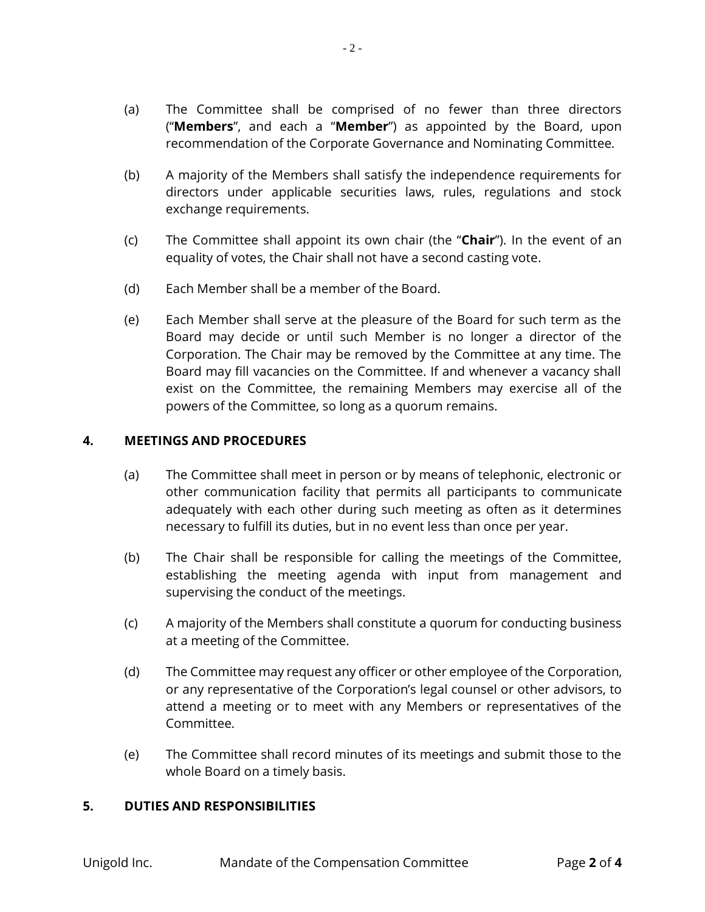(a) The Committee shall be comprised of no fewer than three directors ("**Members**", and each a "**Member**") as appointed by the Board, upon recommendation of the Corporate Governance and Nominating Committee.

- 2 -

- (b) A majority of the Members shall satisfy the independence requirements for directors under applicable securities laws, rules, regulations and stock exchange requirements.
- (c) The Committee shall appoint its own chair (the "**Chair**"). In the event of an equality of votes, the Chair shall not have a second casting vote.
- (d) Each Member shall be a member of the Board.
- (e) Each Member shall serve at the pleasure of the Board for such term as the Board may decide or until such Member is no longer a director of the Corporation. The Chair may be removed by the Committee at any time. The Board may fill vacancies on the Committee. If and whenever a vacancy shall exist on the Committee, the remaining Members may exercise all of the powers of the Committee, so long as a quorum remains.

## **4. MEETINGS AND PROCEDURES**

- (a) The Committee shall meet in person or by means of telephonic, electronic or other communication facility that permits all participants to communicate adequately with each other during such meeting as often as it determines necessary to fulfill its duties, but in no event less than once per year.
- (b) The Chair shall be responsible for calling the meetings of the Committee, establishing the meeting agenda with input from management and supervising the conduct of the meetings.
- (c) A majority of the Members shall constitute a quorum for conducting business at a meeting of the Committee.
- (d) The Committee may request any officer or other employee of the Corporation, or any representative of the Corporation's legal counsel or other advisors, to attend a meeting or to meet with any Members or representatives of the Committee.
- (e) The Committee shall record minutes of its meetings and submit those to the whole Board on a timely basis.

## **5. DUTIES AND RESPONSIBILITIES**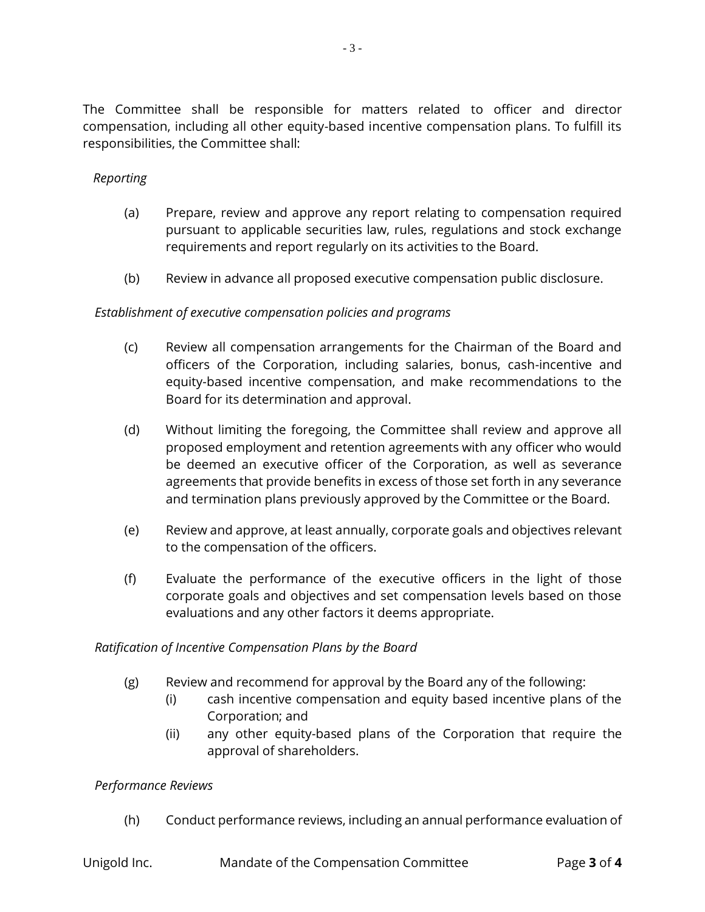The Committee shall be responsible for matters related to officer and director compensation, including all other equity-based incentive compensation plans. To fulfill its responsibilities, the Committee shall:

### *Reporting*

- (a) Prepare, review and approve any report relating to compensation required pursuant to applicable securities law, rules, regulations and stock exchange requirements and report regularly on its activities to the Board.
- (b) Review in advance all proposed executive compensation public disclosure.

#### *Establishment of executive compensation policies and programs*

- (c) Review all compensation arrangements for the Chairman of the Board and officers of the Corporation, including salaries, bonus, cash-incentive and equity-based incentive compensation, and make recommendations to the Board for its determination and approval.
- (d) Without limiting the foregoing, the Committee shall review and approve all proposed employment and retention agreements with any officer who would be deemed an executive officer of the Corporation, as well as severance agreements that provide benefits in excess of those set forth in any severance and termination plans previously approved by the Committee or the Board.
- (e) Review and approve, at least annually, corporate goals and objectives relevant to the compensation of the officers.
- (f) Evaluate the performance of the executive officers in the light of those corporate goals and objectives and set compensation levels based on those evaluations and any other factors it deems appropriate.

#### *Ratification of Incentive Compensation Plans by the Board*

- (g) Review and recommend for approval by the Board any of the following:
	- (i) cash incentive compensation and equity based incentive plans of the Corporation; and
	- (ii) any other equity-based plans of the Corporation that require the approval of shareholders.

#### *Performance Reviews*

(h) Conduct performance reviews, including an annual performance evaluation of